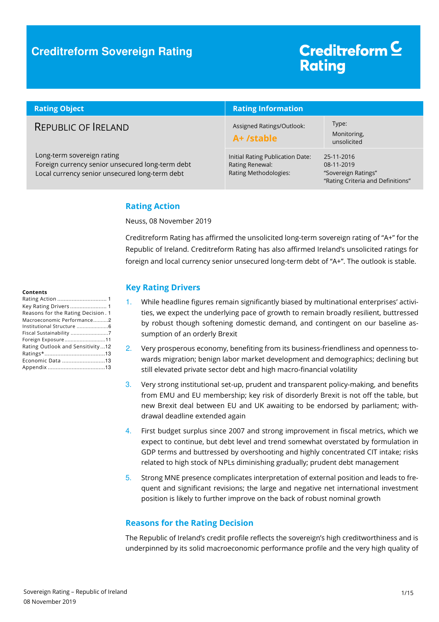### **Creditreform Sovereign Rating**

# Creditreform<sup>C</sup> **Rating**

| <b>Rating Object</b>                                                                                                             | <b>Rating Information</b>                                                    |                                                                                      |
|----------------------------------------------------------------------------------------------------------------------------------|------------------------------------------------------------------------------|--------------------------------------------------------------------------------------|
| REPUBLIC OF RELAND                                                                                                               | Assigned Ratings/Outlook:<br>A+ /stable                                      | Type:<br>Monitoring,<br>unsolicited                                                  |
| Long-term sovereign rating<br>Foreign currency senior unsecured long-term debt<br>Local currency senior unsecured long-term debt | Initial Rating Publication Date:<br>Rating Renewal:<br>Rating Methodologies: | 25-11-2016<br>08-11-2019<br>"Sovereign Ratings"<br>"Rating Criteria and Definitions" |

#### **Rating Action**

Neuss, 08 November 2019

Creditreform Rating has affirmed the unsolicited long-term sovereign rating of "A+" for the Republic of Ireland. Creditreform Rating has also affirmed Ireland's unsolicited ratings for foreign and local currency senior unsecured long-term debt of "A+". The outlook is stable.

#### **Key Rating Drivers**

- 1. While headline figures remain significantly biased by multinational enterprises' activities, we expect the underlying pace of growth to remain broadly resilient, buttressed by robust though softening domestic demand, and contingent on our baseline assumption of an orderly Brexit
- 2. Very prosperous economy, benefiting from its business-friendliness and openness towards migration; benign labor market development and demographics; declining but still elevated private sector debt and high macro-financial volatility
- 3. Very strong institutional set-up, prudent and transparent policy-making, and benefits from EMU and EU membership; key risk of disorderly Brexit is not off the table, but new Brexit deal between EU and UK awaiting to be endorsed by parliament; withdrawal deadline extended again
- 4. First budget surplus since 2007 and strong improvement in fiscal metrics, which we expect to continue, but debt level and trend somewhat overstated by formulation in GDP terms and buttressed by overshooting and highly concentrated CIT intake; risks related to high stock of NPLs diminishing gradually; prudent debt management
- 5. Strong MNE presence complicates interpretation of external position and leads to frequent and significant revisions; the large and negative net international investment position is likely to further improve on the back of robust nominal growth

#### **Reasons for the Rating Decision**

The Republic of Ireland's credit profile reflects the sovereign's high creditworthiness and is underpinned by its solid macroeconomic performance profile and the very high quality of

#### **Contents**

| Key Rating Drivers 1               |
|------------------------------------|
| Reasons for the Rating Decision. 1 |
| Macroeconomic Performance2         |
| Institutional Structure 6          |
| Fiscal Sustainability 7            |
| Foreign Exposure11                 |
| Rating Outlook and Sensitivity12   |
|                                    |
| Economic Data 13                   |
|                                    |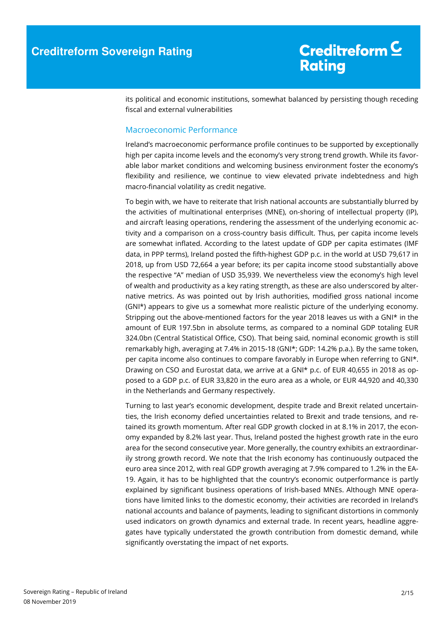its political and economic institutions, somewhat balanced by persisting though receding fiscal and external vulnerabilities

#### Macroeconomic Performance

Ireland's macroeconomic performance profile continues to be supported by exceptionally high per capita income levels and the economy's very strong trend growth. While its favorable labor market conditions and welcoming business environment foster the economy's flexibility and resilience, we continue to view elevated private indebtedness and high macro-financial volatility as credit negative.

To begin with, we have to reiterate that Irish national accounts are substantially blurred by the activities of multinational enterprises (MNE), on-shoring of intellectual property (IP), and aircraft leasing operations, rendering the assessment of the underlying economic activity and a comparison on a cross-country basis difficult. Thus, per capita income levels are somewhat inflated. According to the latest update of GDP per capita estimates (IMF data, in PPP terms), Ireland posted the fifth-highest GDP p.c. in the world at USD 79,617 in 2018, up from USD 72,664 a year before; its per capita income stood substantially above the respective "A" median of USD 35,939. We nevertheless view the economy's high level of wealth and productivity as a key rating strength, as these are also underscored by alternative metrics. As was pointed out by Irish authorities, modified gross national income (GNI\*) appears to give us a somewhat more realistic picture of the underlying economy. Stripping out the above-mentioned factors for the year 2018 leaves us with a GNI\* in the amount of EUR 197.5bn in absolute terms, as compared to a nominal GDP totaling EUR 324.0bn (Central Statistical Office, CSO). That being said, nominal economic growth is still remarkably high, averaging at 7.4% in 2015-18 (GNI\*; GDP: 14.2% p.a.). By the same token, per capita income also continues to compare favorably in Europe when referring to GNI\*. Drawing on CSO and Eurostat data, we arrive at a GNI\* p.c. of EUR 40,655 in 2018 as opposed to a GDP p.c. of EUR 33,820 in the euro area as a whole, or EUR 44,920 and 40,330 in the Netherlands and Germany respectively.

Turning to last year's economic development, despite trade and Brexit related uncertainties, the Irish economy defied uncertainties related to Brexit and trade tensions, and retained its growth momentum. After real GDP growth clocked in at 8.1% in 2017, the economy expanded by 8.2% last year. Thus, Ireland posted the highest growth rate in the euro area for the second consecutive year. More generally, the country exhibits an extraordinarily strong growth record. We note that the Irish economy has continuously outpaced the euro area since 2012, with real GDP growth averaging at 7.9% compared to 1.2% in the EA-19. Again, it has to be highlighted that the country's economic outperformance is partly explained by significant business operations of Irish-based MNEs. Although MNE operations have limited links to the domestic economy, their activities are recorded in Ireland's national accounts and balance of payments, leading to significant distortions in commonly used indicators on growth dynamics and external trade. In recent years, headline aggregates have typically understated the growth contribution from domestic demand, while significantly overstating the impact of net exports.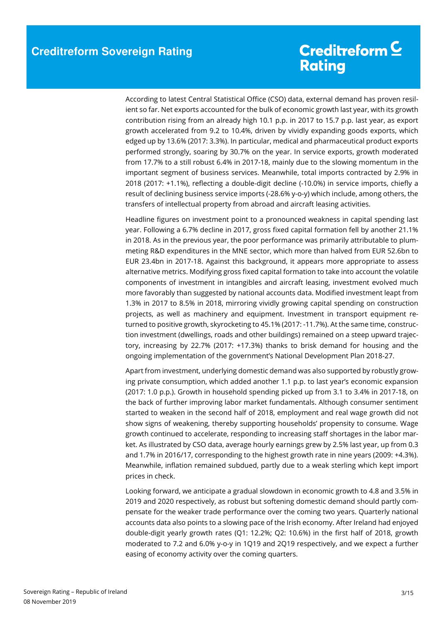According to latest Central Statistical Office (CSO) data, external demand has proven resilient so far. Net exports accounted for the bulk of economic growth last year, with its growth contribution rising from an already high 10.1 p.p. in 2017 to 15.7 p.p. last year, as export growth accelerated from 9.2 to 10.4%, driven by vividly expanding goods exports, which edged up by 13.6% (2017: 3.3%). In particular, medical and pharmaceutical product exports performed strongly, soaring by 30.7% on the year. In service exports, growth moderated from 17.7% to a still robust 6.4% in 2017-18, mainly due to the slowing momentum in the important segment of business services. Meanwhile, total imports contracted by 2.9% in 2018 (2017: +1.1%), reflecting a double-digit decline (-10.0%) in service imports, chiefly a result of declining business service imports (-28.6% y-o-y) which include, among others, the transfers of intellectual property from abroad and aircraft leasing activities.

Headline figures on investment point to a pronounced weakness in capital spending last year. Following a 6.7% decline in 2017, gross fixed capital formation fell by another 21.1% in 2018. As in the previous year, the poor performance was primarily attributable to plummeting R&D expenditures in the MNE sector, which more than halved from EUR 52.6bn to EUR 23.4bn in 2017-18. Against this background, it appears more appropriate to assess alternative metrics. Modifying gross fixed capital formation to take into account the volatile components of investment in intangibles and aircraft leasing, investment evolved much more favorably than suggested by national accounts data. Modified investment leapt from 1.3% in 2017 to 8.5% in 2018, mirroring vividly growing capital spending on construction projects, as well as machinery and equipment. Investment in transport equipment returned to positive growth, skyrocketing to 45.1% (2017: -11.7%). At the same time, construction investment (dwellings, roads and other buildings) remained on a steep upward trajectory, increasing by 22.7% (2017: +17.3%) thanks to brisk demand for housing and the ongoing implementation of the government's National Development Plan 2018-27.

Apart from investment, underlying domestic demand was also supported by robustly growing private consumption, which added another 1.1 p.p. to last year's economic expansion (2017: 1.0 p.p.). Growth in household spending picked up from 3.1 to 3.4% in 2017-18, on the back of further improving labor market fundamentals. Although consumer sentiment started to weaken in the second half of 2018, employment and real wage growth did not show signs of weakening, thereby supporting households' propensity to consume. Wage growth continued to accelerate, responding to increasing staff shortages in the labor market. As illustrated by CSO data, average hourly earnings grew by 2.5% last year, up from 0.3 and 1.7% in 2016/17, corresponding to the highest growth rate in nine years (2009: +4.3%). Meanwhile, inflation remained subdued, partly due to a weak sterling which kept import prices in check.

Looking forward, we anticipate a gradual slowdown in economic growth to 4.8 and 3.5% in 2019 and 2020 respectively, as robust but softening domestic demand should partly compensate for the weaker trade performance over the coming two years. Quarterly national accounts data also points to a slowing pace of the Irish economy. After Ireland had enjoyed double-digit yearly growth rates (Q1: 12.2%; Q2: 10.6%) in the first half of 2018, growth moderated to 7.2 and 6.0% y-o-y in 1Q19 and 2Q19 respectively, and we expect a further easing of economy activity over the coming quarters.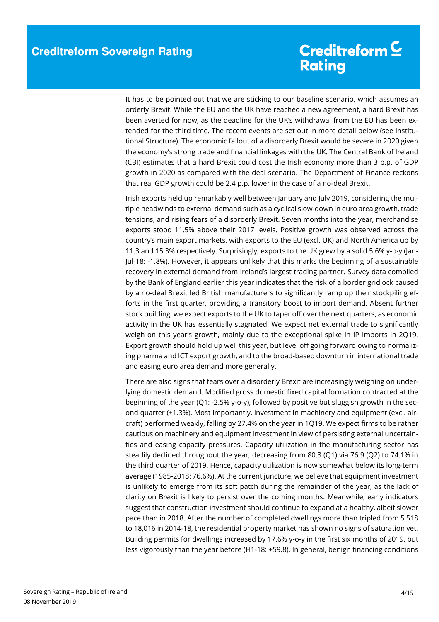It has to be pointed out that we are sticking to our baseline scenario, which assumes an orderly Brexit. While the EU and the UK have reached a new agreement, a hard Brexit has been averted for now, as the deadline for the UK's withdrawal from the EU has been extended for the third time. The recent events are set out in more detail below (see Institutional Structure). The economic fallout of a disorderly Brexit would be severe in 2020 given the economy's strong trade and financial linkages with the UK. The Central Bank of Ireland (CBI) estimates that a hard Brexit could cost the Irish economy more than 3 p.p. of GDP growth in 2020 as compared with the deal scenario. The Department of Finance reckons that real GDP growth could be 2.4 p.p. lower in the case of a no-deal Brexit.

Irish exports held up remarkably well between January and July 2019, considering the multiple headwinds to external demand such as a cyclical slow-down in euro area growth, trade tensions, and rising fears of a disorderly Brexit. Seven months into the year, merchandise exports stood 11.5% above their 2017 levels. Positive growth was observed across the country's main export markets, with exports to the EU (excl. UK) and North America up by 11.3 and 15.3% respectively. Surprisingly, exports to the UK grew by a solid 5.6% y-o-y (Jan-Jul-18: -1.8%). However, it appears unlikely that this marks the beginning of a sustainable recovery in external demand from Ireland's largest trading partner. Survey data compiled by the Bank of England earlier this year indicates that the risk of a border gridlock caused by a no-deal Brexit led British manufacturers to significantly ramp up their stockpiling efforts in the first quarter, providing a transitory boost to import demand. Absent further stock building, we expect exports to the UK to taper off over the next quarters, as economic activity in the UK has essentially stagnated. We expect net external trade to significantly weigh on this year's growth, mainly due to the exceptional spike in IP imports in 2Q19. Export growth should hold up well this year, but level off going forward owing to normalizing pharma and ICT export growth, and to the broad-based downturn in international trade and easing euro area demand more generally.

There are also signs that fears over a disorderly Brexit are increasingly weighing on underlying domestic demand. Modified gross domestic fixed capital formation contracted at the beginning of the year (Q1: -2.5% y-o-y), followed by positive but sluggish growth in the second quarter (+1.3%). Most importantly, investment in machinery and equipment (excl. aircraft) performed weakly, falling by 27.4% on the year in 1Q19. We expect firms to be rather cautious on machinery and equipment investment in view of persisting external uncertainties and easing capacity pressures. Capacity utilization in the manufacturing sector has steadily declined throughout the year, decreasing from 80.3 (Q1) via 76.9 (Q2) to 74.1% in the third quarter of 2019. Hence, capacity utilization is now somewhat below its long-term average (1985-2018: 76.6%). At the current juncture, we believe that equipment investment is unlikely to emerge from its soft patch during the remainder of the year, as the lack of clarity on Brexit is likely to persist over the coming months. Meanwhile, early indicators suggest that construction investment should continue to expand at a healthy, albeit slower pace than in 2018. After the number of completed dwellings more than tripled from 5,518 to 18,016 in 2014-18, the residential property market has shown no signs of saturation yet. Building permits for dwellings increased by 17.6% y-o-y in the first six months of 2019, but less vigorously than the year before (H1-18: +59.8). In general, benign financing conditions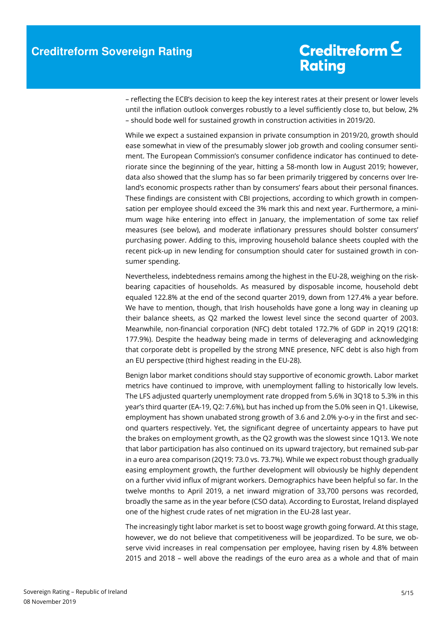– reflecting the ECB's decision to keep the key interest rates at their present or lower levels until the inflation outlook converges robustly to a level sufficiently close to, but below, 2% – should bode well for sustained growth in construction activities in 2019/20.

While we expect a sustained expansion in private consumption in 2019/20, growth should ease somewhat in view of the presumably slower job growth and cooling consumer sentiment. The European Commission's consumer confidence indicator has continued to deteriorate since the beginning of the year, hitting a 58-month low in August 2019; however, data also showed that the slump has so far been primarily triggered by concerns over Ireland's economic prospects rather than by consumers' fears about their personal finances. These findings are consistent with CBI projections, according to which growth in compensation per employee should exceed the 3% mark this and next year. Furthermore, a minimum wage hike entering into effect in January, the implementation of some tax relief measures (see below), and moderate inflationary pressures should bolster consumers' purchasing power. Adding to this, improving household balance sheets coupled with the recent pick-up in new lending for consumption should cater for sustained growth in consumer spending.

Nevertheless, indebtedness remains among the highest in the EU-28, weighing on the riskbearing capacities of households. As measured by disposable income, household debt equaled 122.8% at the end of the second quarter 2019, down from 127.4% a year before. We have to mention, though, that Irish households have gone a long way in cleaning up their balance sheets, as Q2 marked the lowest level since the second quarter of 2003. Meanwhile, non-financial corporation (NFC) debt totaled 172.7% of GDP in 2Q19 (2Q18: 177.9%). Despite the headway being made in terms of deleveraging and acknowledging that corporate debt is propelled by the strong MNE presence, NFC debt is also high from an EU perspective (third highest reading in the EU-28).

Benign labor market conditions should stay supportive of economic growth. Labor market metrics have continued to improve, with unemployment falling to historically low levels. The LFS adjusted quarterly unemployment rate dropped from 5.6% in 3Q18 to 5.3% in this year's third quarter (EA-19, Q2: 7.6%), but has inched up from the 5.0% seen in Q1. Likewise, employment has shown unabated strong growth of 3.6 and 2.0% y-o-y in the first and second quarters respectively. Yet, the significant degree of uncertainty appears to have put the brakes on employment growth, as the Q2 growth was the slowest since 1Q13. We note that labor participation has also continued on its upward trajectory, but remained sub-par in a euro area comparison (2Q19: 73.0 vs. 73.7%). While we expect robust though gradually easing employment growth, the further development will obviously be highly dependent on a further vivid influx of migrant workers. Demographics have been helpful so far. In the twelve months to April 2019, a net inward migration of 33,700 persons was recorded, broadly the same as in the year before (CSO data). According to Eurostat, Ireland displayed one of the highest crude rates of net migration in the EU-28 last year.

The increasingly tight labor market is set to boost wage growth going forward. At this stage, however, we do not believe that competitiveness will be jeopardized. To be sure, we observe vivid increases in real compensation per employee, having risen by 4.8% between 2015 and 2018 – well above the readings of the euro area as a whole and that of main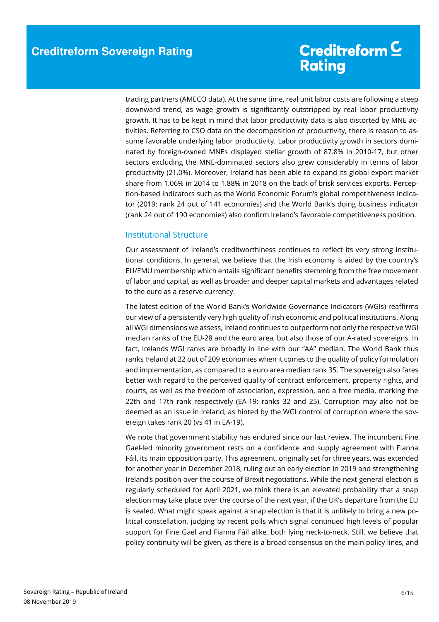trading partners (AMECO data). At the same time, real unit labor costs are following a steep downward trend, as wage growth is significantly outstripped by real labor productivity growth. It has to be kept in mind that labor productivity data is also distorted by MNE activities. Referring to CSO data on the decomposition of productivity, there is reason to assume favorable underlying labor productivity. Labor productivity growth in sectors dominated by foreign-owned MNEs displayed stellar growth of 87.8% in 2010-17, but other sectors excluding the MNE-dominated sectors also grew considerably in terms of labor productivity (21.0%). Moreover, Ireland has been able to expand its global export market share from 1.06% in 2014 to 1.88% in 2018 on the back of brisk services exports. Perception-based indicators such as the World Economic Forum's global competitiveness indicator (2019: rank 24 out of 141 economies) and the World Bank's doing business indicator (rank 24 out of 190 economies) also confirm Ireland's favorable competitiveness position.

#### Institutional Structure

Our assessment of Ireland's creditworthiness continues to reflect its very strong institutional conditions. In general, we believe that the Irish economy is aided by the country's EU/EMU membership which entails significant benefits stemming from the free movement of labor and capital, as well as broader and deeper capital markets and advantages related to the euro as a reserve currency.

The latest edition of the World Bank's Worldwide Governance Indicators (WGIs) reaffirms our view of a persistently very high quality of Irish economic and political institutions. Along all WGI dimensions we assess, Ireland continues to outperform not only the respective WGI median ranks of the EU-28 and the euro area, but also those of our A-rated sovereigns. In fact, Irelands WGI ranks are broadly in line with our "AA" median. The World Bank thus ranks Ireland at 22 out of 209 economies when it comes to the quality of policy formulation and implementation, as compared to a euro area median rank 35. The sovereign also fares better with regard to the perceived quality of contract enforcement, property rights, and courts, as well as the freedom of association, expression, and a free media, marking the 22th and 17th rank respectively (EA-19: ranks 32 and 25). Corruption may also not be deemed as an issue in Ireland, as hinted by the WGI control of corruption where the sovereign takes rank 20 (vs 41 in EA-19).

We note that government stability has endured since our last review. The incumbent Fine Gael-led minority government rests on a confidence and supply agreement with Fianna Fáil, its main opposition party. This agreement, originally set for three years, was extended for another year in December 2018, ruling out an early election in 2019 and strengthening Ireland's position over the course of Brexit negotiations. While the next general election is regularly scheduled for April 2021, we think there is an elevated probability that a snap election may take place over the course of the next year, if the UK's departure from the EU is sealed. What might speak against a snap election is that it is unlikely to bring a new political constellation, judging by recent polls which signal continued high levels of popular support for Fine Gael and Fianna Fáil alike, both lying neck-to-neck. Still, we believe that policy continuity will be given, as there is a broad consensus on the main policy lines, and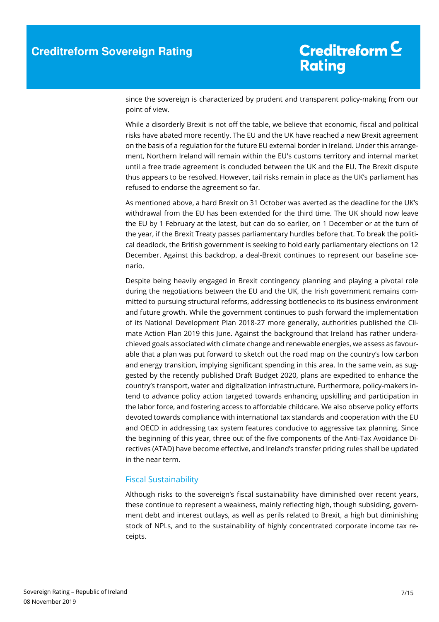since the sovereign is characterized by prudent and transparent policy-making from our point of view.

While a disorderly Brexit is not off the table, we believe that economic, fiscal and political risks have abated more recently. The EU and the UK have reached a new Brexit agreement on the basis of a regulation for the future EU external border in Ireland. Under this arrangement, Northern Ireland will remain within the EU's customs territory and internal market until a free trade agreement is concluded between the UK and the EU. The Brexit dispute thus appears to be resolved. However, tail risks remain in place as the UK's parliament has refused to endorse the agreement so far.

As mentioned above, a hard Brexit on 31 October was averted as the deadline for the UK's withdrawal from the EU has been extended for the third time. The UK should now leave the EU by 1 February at the latest, but can do so earlier, on 1 December or at the turn of the year, if the Brexit Treaty passes parliamentary hurdles before that. To break the political deadlock, the British government is seeking to hold early parliamentary elections on 12 December. Against this backdrop, a deal-Brexit continues to represent our baseline scenario.

Despite being heavily engaged in Brexit contingency planning and playing a pivotal role during the negotiations between the EU and the UK, the Irish government remains committed to pursuing structural reforms, addressing bottlenecks to its business environment and future growth. While the government continues to push forward the implementation of its National Development Plan 2018-27 more generally, authorities published the Climate Action Plan 2019 this June. Against the background that Ireland has rather underachieved goals associated with climate change and renewable energies, we assess as favourable that a plan was put forward to sketch out the road map on the country's low carbon and energy transition, implying significant spending in this area. In the same vein, as suggested by the recently published Draft Budget 2020, plans are expedited to enhance the country's transport, water and digitalization infrastructure. Furthermore, policy-makers intend to advance policy action targeted towards enhancing upskilling and participation in the labor force, and fostering access to affordable childcare. We also observe policy efforts devoted towards compliance with international tax standards and cooperation with the EU and OECD in addressing tax system features conducive to aggressive tax planning. Since the beginning of this year, three out of the five components of the Anti-Tax Avoidance Directives (ATAD) have become effective, and Ireland's transfer pricing rules shall be updated in the near term.

#### Fiscal Sustainability

Although risks to the sovereign's fiscal sustainability have diminished over recent years, these continue to represent a weakness, mainly reflecting high, though subsiding, government debt and interest outlays, as well as perils related to Brexit, a high but diminishing stock of NPLs, and to the sustainability of highly concentrated corporate income tax receipts.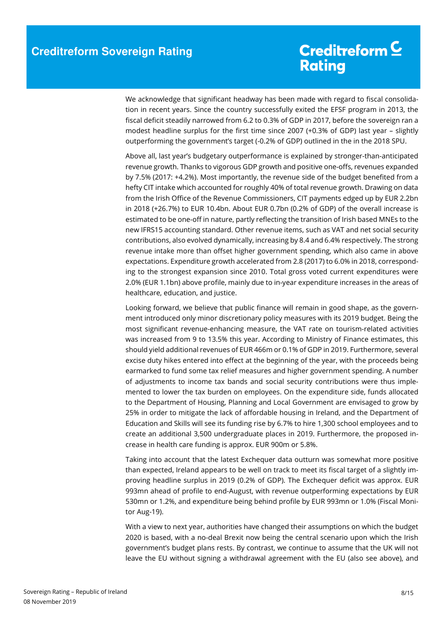We acknowledge that significant headway has been made with regard to fiscal consolidation in recent years. Since the country successfully exited the EFSF program in 2013, the fiscal deficit steadily narrowed from 6.2 to 0.3% of GDP in 2017, before the sovereign ran a modest headline surplus for the first time since 2007 (+0.3% of GDP) last year – slightly outperforming the government's target (-0.2% of GDP) outlined in the in the 2018 SPU.

Above all, last year's budgetary outperformance is explained by stronger-than-anticipated revenue growth. Thanks to vigorous GDP growth and positive one-offs, revenues expanded by 7.5% (2017: +4.2%). Most importantly, the revenue side of the budget benefited from a hefty CIT intake which accounted for roughly 40% of total revenue growth. Drawing on data from the Irish Office of the Revenue Commissioners, CIT payments edged up by EUR 2.2bn in 2018 (+26.7%) to EUR 10.4bn. About EUR 0.7bn (0.2% of GDP) of the overall increase is estimated to be one-off in nature, partly reflecting the transition of Irish based MNEs to the new IFRS15 accounting standard. Other revenue items, such as VAT and net social security contributions, also evolved dynamically, increasing by 8.4 and 6.4% respectively. The strong revenue intake more than offset higher government spending, which also came in above expectations. Expenditure growth accelerated from 2.8 (2017) to 6.0% in 2018, corresponding to the strongest expansion since 2010. Total gross voted current expenditures were 2.0% (EUR 1.1bn) above profile, mainly due to in-year expenditure increases in the areas of healthcare, education, and justice.

Looking forward, we believe that public finance will remain in good shape, as the government introduced only minor discretionary policy measures with its 2019 budget. Being the most significant revenue-enhancing measure, the VAT rate on tourism-related activities was increased from 9 to 13.5% this year. According to Ministry of Finance estimates, this should yield additional revenues of EUR 466m or 0.1% of GDP in 2019. Furthermore, several excise duty hikes entered into effect at the beginning of the year, with the proceeds being earmarked to fund some tax relief measures and higher government spending. A number of adjustments to income tax bands and social security contributions were thus implemented to lower the tax burden on employees. On the expenditure side, funds allocated to the Department of Housing, Planning and Local Government are envisaged to grow by 25% in order to mitigate the lack of affordable housing in Ireland, and the Department of Education and Skills will see its funding rise by 6.7% to hire 1,300 school employees and to create an additional 3,500 undergraduate places in 2019. Furthermore, the proposed increase in health care funding is approx. EUR 900m or 5.8%.

Taking into account that the latest Exchequer data outturn was somewhat more positive than expected, Ireland appears to be well on track to meet its fiscal target of a slightly improving headline surplus in 2019 (0.2% of GDP). The Exchequer deficit was approx. EUR 993mn ahead of profile to end-August, with revenue outperforming expectations by EUR 530mn or 1.2%, and expenditure being behind profile by EUR 993mn or 1.0% (Fiscal Monitor Aug-19).

With a view to next year, authorities have changed their assumptions on which the budget 2020 is based, with a no-deal Brexit now being the central scenario upon which the Irish government's budget plans rests. By contrast, we continue to assume that the UK will not leave the EU without signing a withdrawal agreement with the EU (also see above), and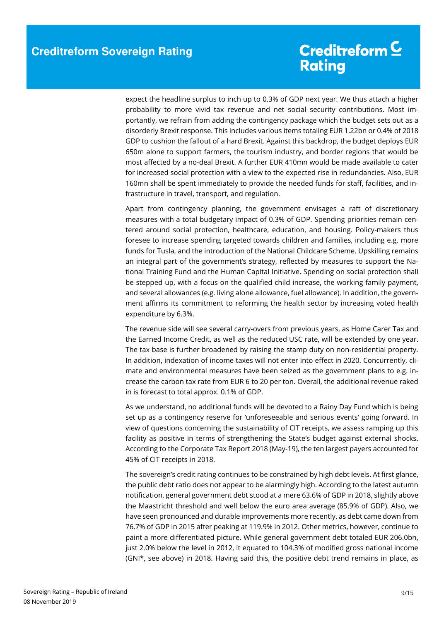expect the headline surplus to inch up to 0.3% of GDP next year. We thus attach a higher probability to more vivid tax revenue and net social security contributions. Most importantly, we refrain from adding the contingency package which the budget sets out as a disorderly Brexit response. This includes various items totaling EUR 1.22bn or 0.4% of 2018 GDP to cushion the fallout of a hard Brexit. Against this backdrop, the budget deploys EUR 650m alone to support farmers, the tourism industry, and border regions that would be most affected by a no-deal Brexit. A further EUR 410mn would be made available to cater for increased social protection with a view to the expected rise in redundancies. Also, EUR 160mn shall be spent immediately to provide the needed funds for staff, facilities, and infrastructure in travel, transport, and regulation.

Apart from contingency planning, the government envisages a raft of discretionary measures with a total budgetary impact of 0.3% of GDP. Spending priorities remain centered around social protection, healthcare, education, and housing. Policy-makers thus foresee to increase spending targeted towards children and families, including e.g. more funds for Tusla, and the introduction of the National Childcare Scheme. Upskilling remains an integral part of the government's strategy, reflected by measures to support the National Training Fund and the Human Capital Initiative. Spending on social protection shall be stepped up, with a focus on the qualified child increase, the working family payment, and several allowances (e.g. living alone allowance, fuel allowance). In addition, the government affirms its commitment to reforming the health sector by increasing voted health expenditure by 6.3%.

The revenue side will see several carry-overs from previous years, as Home Carer Tax and the Earned Income Credit, as well as the reduced USC rate, will be extended by one year. The tax base is further broadened by raising the stamp duty on non-residential property. In addition, indexation of income taxes will not enter into effect in 2020. Concurrently, climate and environmental measures have been seized as the government plans to e.g. increase the carbon tax rate from EUR 6 to 20 per ton. Overall, the additional revenue raked in is forecast to total approx. 0.1% of GDP.

As we understand, no additional funds will be devoted to a Rainy Day Fund which is being set up as a contingency reserve for 'unforeseeable and serious events' going forward. In view of questions concerning the sustainability of CIT receipts, we assess ramping up this facility as positive in terms of strengthening the State's budget against external shocks. According to the Corporate Tax Report 2018 (May-19), the ten largest payers accounted for 45% of CIT receipts in 2018.

The sovereign's credit rating continues to be constrained by high debt levels. At first glance, the public debt ratio does not appear to be alarmingly high. According to the latest autumn notification, general government debt stood at a mere 63.6% of GDP in 2018, slightly above the Maastricht threshold and well below the euro area average (85.9% of GDP). Also, we have seen pronounced and durable improvements more recently, as debt came down from 76.7% of GDP in 2015 after peaking at 119.9% in 2012. Other metrics, however, continue to paint a more differentiated picture. While general government debt totaled EUR 206.0bn, just 2.0% below the level in 2012, it equated to 104.3% of modified gross national income (GNI\*, see above) in 2018. Having said this, the positive debt trend remains in place, as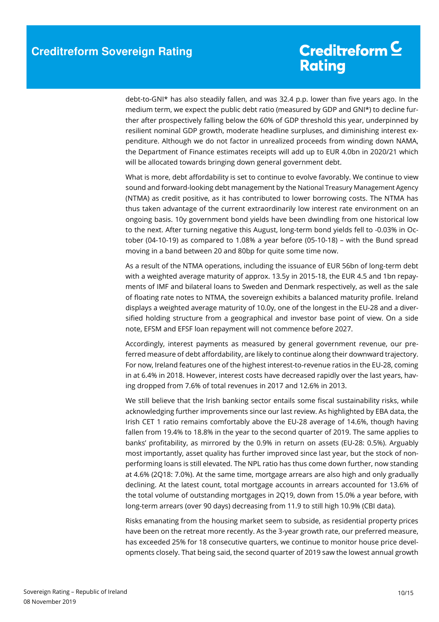debt-to-GNI\* has also steadily fallen, and was 32.4 p.p. lower than five years ago. In the medium term, we expect the public debt ratio (measured by GDP and GNI\*) to decline further after prospectively falling below the 60% of GDP threshold this year, underpinned by resilient nominal GDP growth, moderate headline surpluses, and diminishing interest expenditure. Although we do not factor in unrealized proceeds from winding down NAMA, the Department of Finance estimates receipts will add up to EUR 4.0bn in 2020/21 which will be allocated towards bringing down general government debt.

What is more, debt affordability is set to continue to evolve favorably. We continue to view sound and forward-looking debt management by the National Treasury Management Agency (NTMA) as credit positive, as it has contributed to lower borrowing costs. The NTMA has thus taken advantage of the current extraordinarily low interest rate environment on an ongoing basis. 10y government bond yields have been dwindling from one historical low to the next. After turning negative this August, long-term bond yields fell to -0.03% in October (04-10-19) as compared to 1.08% a year before (05-10-18) – with the Bund spread moving in a band between 20 and 80bp for quite some time now.

As a result of the NTMA operations, including the issuance of EUR 56bn of long-term debt with a weighted average maturity of approx. 13.5y in 2015-18, the EUR 4.5 and 1bn repayments of IMF and bilateral loans to Sweden and Denmark respectively, as well as the sale of floating rate notes to NTMA, the sovereign exhibits a balanced maturity profile. Ireland displays a weighted average maturity of 10.0y, one of the longest in the EU-28 and a diversified holding structure from a geographical and investor base point of view. On a side note, EFSM and EFSF loan repayment will not commence before 2027.

Accordingly, interest payments as measured by general government revenue, our preferred measure of debt affordability, are likely to continue along their downward trajectory. For now, Ireland features one of the highest interest-to-revenue ratios in the EU-28, coming in at 6.4% in 2018. However, interest costs have decreased rapidly over the last years, having dropped from 7.6% of total revenues in 2017 and 12.6% in 2013.

We still believe that the Irish banking sector entails some fiscal sustainability risks, while acknowledging further improvements since our last review. As highlighted by EBA data, the Irish CET 1 ratio remains comfortably above the EU-28 average of 14.6%, though having fallen from 19.4% to 18.8% in the year to the second quarter of 2019. The same applies to banks' profitability, as mirrored by the 0.9% in return on assets (EU-28: 0.5%). Arguably most importantly, asset quality has further improved since last year, but the stock of nonperforming loans is still elevated. The NPL ratio has thus come down further, now standing at 4.6% (2Q18: 7.0%). At the same time, mortgage arrears are also high and only gradually declining. At the latest count, total mortgage accounts in arrears accounted for 13.6% of the total volume of outstanding mortgages in 2Q19, down from 15.0% a year before, with long-term arrears (over 90 days) decreasing from 11.9 to still high 10.9% (CBI data).

Risks emanating from the housing market seem to subside, as residential property prices have been on the retreat more recently. As the 3-year growth rate, our preferred measure, has exceeded 25% for 18 consecutive quarters, we continue to monitor house price developments closely. That being said, the second quarter of 2019 saw the lowest annual growth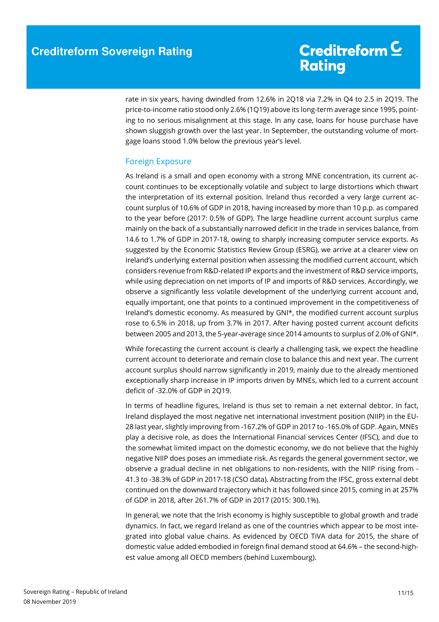rate in six years, having dwindled from 12.6% in 2Q18 via 7.2% in Q4 to 2.5 in 2Q19. The price-to-income ratio stood only 2.6% (1Q19) above its long-term average since 1995, pointing to no serious misalignment at this stage. In any case, loans for house purchase have shown sluggish growth over the last year. In September, the outstanding volume of mortgage loans stood 1.0% below the previous year's level.

#### Foreign Exposure

As Ireland is a small and open economy with a strong MNE concentration, its current account continues to be exceptionally volatile and subject to large distortions which thwart the interpretation of its external position. Ireland thus recorded a very large current account surplus of 10.6% of GDP in 2018, having increased by more than 10 p.p. as compared to the year before (2017: 0.5% of GDP). The large headline current account surplus came mainly on the back of a substantially narrowed deficit in the trade in services balance, from 14.6 to 1.7% of GDP in 2017-18, owing to sharply increasing computer service exports. As suggested by the Economic Statistics Review Group (ESRG), we arrive at a clearer view on Ireland's underlying external position when assessing the modified current account, which considers revenue from R&D-related IP exports and the investment of R&D service imports, while using depreciation on net imports of IP and imports of R&D services. Accordingly, we observe a significantly less volatile development of the underlying current account and, equally important, one that points to a continued improvement in the competitiveness of Ireland's domestic economy. As measured by GNI\*, the modified current account surplus rose to 6.5% in 2018, up from 3.7% in 2017. After having posted current account deficits between 2005 and 2013, the 5-year-average since 2014 amounts to surplus of 2.0% of GNI\*.

While forecasting the current account is clearly a challenging task, we expect the headline current account to deteriorate and remain close to balance this and next year. The current account surplus should narrow significantly in 2019, mainly due to the already mentioned exceptionally sharp increase in IP imports driven by MNEs, which led to a current account deficit of -32.0% of GDP in 2Q19.

In terms of headline figures, Ireland is thus set to remain a net external debtor. In fact, Ireland displayed the most negative net international investment position (NIIP) in the EU-28 last year, slightly improving from -167.2% of GDP in 2017 to -165.0% of GDP. Again, MNEs play a decisive role, as does the International Financial services Center (IFSC), and due to the somewhat limited impact on the domestic economy, we do not believe that the highly negative NIIP does poses an immediate risk. As regards the general government sector, we observe a gradual decline in net obligations to non-residents, with the NIIP rising from - 41.3 to -38.3% of GDP in 2017-18 (CSO data). Abstracting from the IFSC, gross external debt continued on the downward trajectory which it has followed since 2015, coming in at 257% of GDP in 2018, after 261.7% of GDP in 2017 (2015: 300.1%).

In general, we note that the Irish economy is highly susceptible to global growth and trade dynamics. In fact, we regard Ireland as one of the countries which appear to be most integrated into global value chains. As evidenced by OECD TiVA data for 2015, the share of domestic value added embodied in foreign final demand stood at 64.6% – the second-highest value among all OECD members (behind Luxembourg).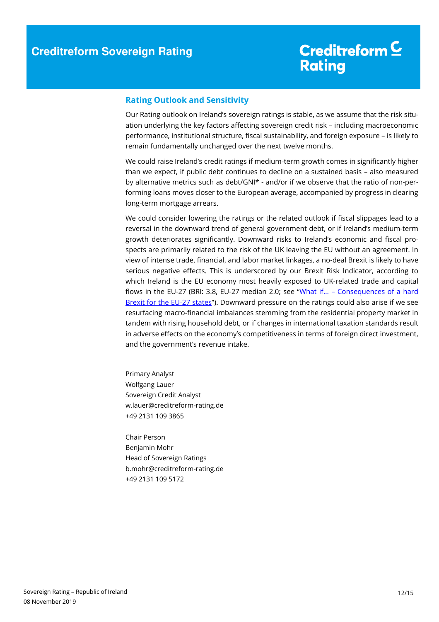### Creditreform C **Rating**

#### **Rating Outlook and Sensitivity**

Our Rating outlook on Ireland's sovereign ratings is stable, as we assume that the risk situation underlying the key factors affecting sovereign credit risk – including macroeconomic performance, institutional structure, fiscal sustainability, and foreign exposure – is likely to remain fundamentally unchanged over the next twelve months.

We could raise Ireland's credit ratings if medium-term growth comes in significantly higher than we expect, if public debt continues to decline on a sustained basis – also measured by alternative metrics such as debt/GNI\* - and/or if we observe that the ratio of non-performing loans moves closer to the European average, accompanied by progress in clearing long-term mortgage arrears.

We could consider lowering the ratings or the related outlook if fiscal slippages lead to a reversal in the downward trend of general government debt, or if Ireland's medium-term growth deteriorates significantly. Downward risks to Ireland's economic and fiscal prospects are primarily related to the risk of the UK leaving the EU without an agreement. In view of intense trade, financial, and labor market linkages, a no-deal Brexit is likely to have serious negative effects. This is underscored by our Brexit Risk Indicator, according to which Ireland is the EU economy most heavily exposed to UK-related trade and capital flows in the EU-27 (BRI: 3.8, EU-27 median 2.0; see "What if… – Consequences of a hard Brexit for the EU-27 states"). Downward pressure on the ratings could also arise if we see resurfacing macro-financial imbalances stemming from the residential property market in tandem with rising household debt, or if changes in international taxation standards result in adverse effects on the economy's competitiveness in terms of foreign direct investment, and the government's revenue intake.

Primary Analyst Wolfgang Lauer Sovereign Credit Analyst w.lauer@creditreform-rating.de +49 2131 109 3865

Chair Person Benjamin Mohr Head of Sovereign Ratings b.mohr@creditreform-rating.de +49 2131 109 5172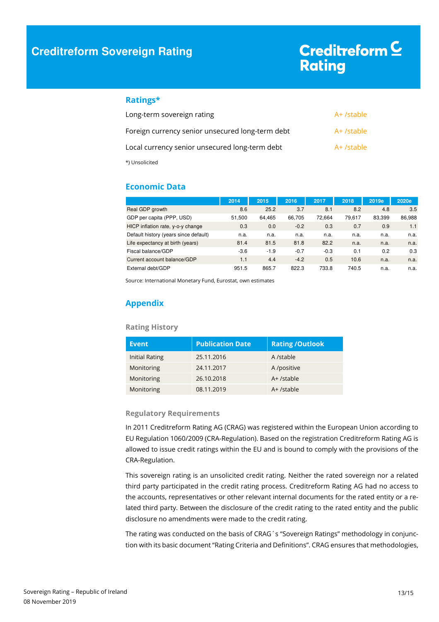#### **Ratings\***

| Long-term sovereign rating                       | A+ /stable |
|--------------------------------------------------|------------|
| Foreign currency senior unsecured long-term debt | A+ /stable |
| Local currency senior unsecured long-term debt   | A+ /stable |
| *) Unsolicited                                   |            |

#### **Economic Data**

|                                       | 2014   | 2015   | 2016   | 2017   | 2018   | 2019e  | 2020e  |
|---------------------------------------|--------|--------|--------|--------|--------|--------|--------|
| Real GDP growth                       | 8.6    | 25.2   | 3.7    | 8.1    | 8.2    | 4.8    | 3.5    |
| GDP per capita (PPP, USD)             | 51,500 | 64.465 | 66,705 | 72.664 | 79,617 | 83,399 | 86,988 |
| HICP inflation rate, y-o-y change     | 0.3    | 0.0    | $-0.2$ | 0.3    | 0.7    | 0.9    | 1.1    |
| Default history (years since default) | n.a.   | n.a.   | n.a.   | n.a.   | n.a.   | n.a.   | n.a.   |
| Life expectancy at birth (years)      | 81.4   | 81.5   | 81.8   | 82.2   | n.a.   | n.a.   | n.a.   |
| Fiscal balance/GDP                    | $-3.6$ | $-1.9$ | $-0.7$ | $-0.3$ | 0.1    | 0.2    | 0.3    |
| Current account balance/GDP           | 1.1    | 4.4    | $-4.2$ | 0.5    | 10.6   | n.a.   | n.a.   |
| External debt/GDP                     | 951.5  | 865.7  | 822.3  | 733.8  | 740.5  | n.a.   | n.a.   |

Source: International Monetary Fund, Eurostat, own estimates

#### **Appendix**

#### **Rating History**

| Event          | <b>Publication Date</b> | <b>Rating/Outlook</b> |
|----------------|-------------------------|-----------------------|
| Initial Rating | 25.11.2016              | A /stable             |
| Monitoring     | 24.11.2017              | A /positive           |
| Monitoring     | 26.10.2018              | $A+$ /stable          |
| Monitoring     | 08.11.2019              | $A+$ /stable          |

#### **Regulatory Requirements**

In 2011 Creditreform Rating AG (CRAG) was registered within the European Union according to EU Regulation 1060/2009 (CRA-Regulation). Based on the registration Creditreform Rating AG is allowed to issue credit ratings within the EU and is bound to comply with the provisions of the CRA-Regulation.

This sovereign rating is an unsolicited credit rating. Neither the rated sovereign nor a related third party participated in the credit rating process. Creditreform Rating AG had no access to the accounts, representatives or other relevant internal documents for the rated entity or a related third party. Between the disclosure of the credit rating to the rated entity and the public disclosure no amendments were made to the credit rating.

The rating was conducted on the basis of CRAG's "Sovereign Ratings" methodology in conjunction with its basic document "Rating Criteria and Definitions". CRAG ensures that methodologies,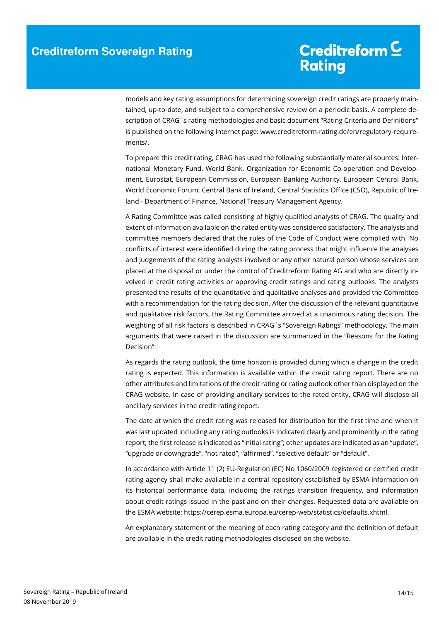models and key rating assumptions for determining sovereign credit ratings are properly maintained, up-to-date, and subject to a comprehensive review on a periodic basis. A complete description of CRAG´s rating methodologies and basic document "Rating Criteria and Definitions" is published on the following internet page: www.creditreform-rating.de/en/regulatory-requirements/.

To prepare this credit rating, CRAG has used the following substantially material sources: International Monetary Fund, World Bank, Organization for Economic Co-operation and Development, Eurostat, European Commission, European Banking Authority, European Central Bank, World Economic Forum, Central Bank of Ireland, Central Statistics Office (CSO), Republic of Ireland - Department of Finance, National Treasury Management Agency.

A Rating Committee was called consisting of highly qualified analysts of CRAG. The quality and extent of information available on the rated entity was considered satisfactory. The analysts and committee members declared that the rules of the Code of Conduct were complied with. No conflicts of interest were identified during the rating process that might influence the analyses and judgements of the rating analysts involved or any other natural person whose services are placed at the disposal or under the control of Creditreform Rating AG and who are directly involved in credit rating activities or approving credit ratings and rating outlooks. The analysts presented the results of the quantitative and qualitative analyses and provided the Committee with a recommendation for the rating decision. After the discussion of the relevant quantitative and qualitative risk factors, the Rating Committee arrived at a unanimous rating decision. The weighting of all risk factors is described in CRAG´s "Sovereign Ratings" methodology. The main arguments that were raised in the discussion are summarized in the "Reasons for the Rating Decision".

As regards the rating outlook, the time horizon is provided during which a change in the credit rating is expected. This information is available within the credit rating report. There are no other attributes and limitations of the credit rating or rating outlook other than displayed on the CRAG website. In case of providing ancillary services to the rated entity, CRAG will disclose all ancillary services in the credit rating report.

The date at which the credit rating was released for distribution for the first time and when it was last updated including any rating outlooks is indicated clearly and prominently in the rating report; the first release is indicated as "initial rating"; other updates are indicated as an "update", "upgrade or downgrade", "not rated", "affirmed", "selective default" or "default".

In accordance with Article 11 (2) EU-Regulation (EC) No 1060/2009 registered or certified credit rating agency shall make available in a central repository established by ESMA information on its historical performance data, including the ratings transition frequency, and information about credit ratings issued in the past and on their changes. Requested data are available on the ESMA website: https://cerep.esma.europa.eu/cerep-web/statistics/defaults.xhtml.

An explanatory statement of the meaning of each rating category and the definition of default are available in the credit rating methodologies disclosed on the website.